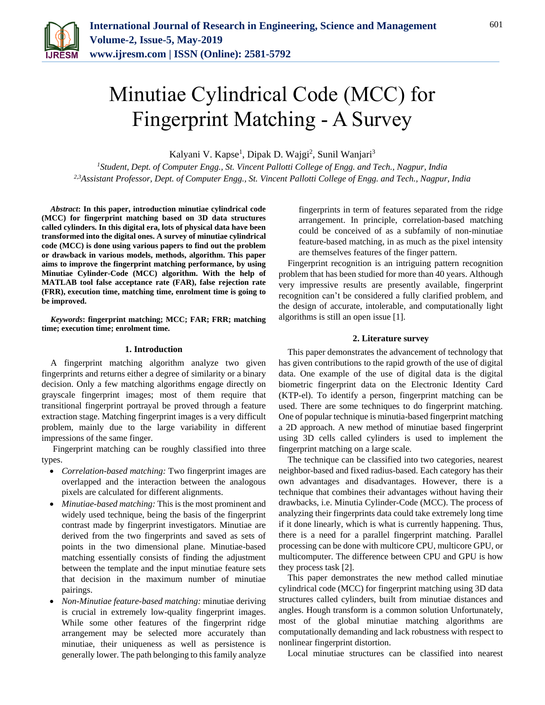

# Minutiae Cylindrical Code (MCC) for Fingerprint Matching - A Survey

Kalyani V. Kapse<sup>1</sup>, Dipak D. Wajgi<sup>2</sup>, Sunil Wanjari<sup>3</sup>

*<sup>1</sup>Student, Dept. of Computer Engg., St. Vincent Pallotti College of Engg. and Tech., Nagpur, India 2,3Assistant Professor, Dept. of Computer Engg., St. Vincent Pallotti College of Engg. and Tech., Nagpur, India*

*Abstract***: In this paper, introduction minutiae cylindrical code (MCC) for fingerprint matching based on 3D data structures called cylinders. In this digital era, lots of physical data have been transformed into the digital ones. A survey of minutiae cylindrical code (MCC) is done using various papers to find out the problem or drawback in various models, methods, algorithm. This paper aims to improve the fingerprint matching performance, by using Minutiae Cylinder-Code (MCC) algorithm. With the help of MATLAB tool false acceptance rate (FAR), false rejection rate (FRR), execution time, matching time, enrolment time is going to be improved.**

*Keywords***: fingerprint matching; MCC; FAR; FRR; matching time; execution time; enrolment time.**

#### **1. Introduction**

A fingerprint matching algorithm analyze two given fingerprints and returns either a degree of similarity or a binary decision. Only a few matching algorithms engage directly on grayscale fingerprint images; most of them require that transitional fingerprint portrayal be proved through a feature extraction stage. Matching fingerprint images is a very difficult problem, mainly due to the large variability in different impressions of the same finger.

Fingerprint matching can be roughly classified into three types.

- *Correlation-based matching:* Two fingerprint images are overlapped and the interaction between the analogous pixels are calculated for different alignments.
- *Minutiae-based matching:* This is the most prominent and widely used technique, being the basis of the fingerprint contrast made by fingerprint investigators. Minutiae are derived from the two fingerprints and saved as sets of points in the two dimensional plane. Minutiae-based matching essentially consists of finding the adjustment between the template and the input minutiae feature sets that decision in the maximum number of minutiae pairings.
- *Non-Minutiae feature-based matching:* minutiae deriving is crucial in extremely low-quality fingerprint images. While some other features of the fingerprint ridge arrangement may be selected more accurately than minutiae, their uniqueness as well as persistence is generally lower. The path belonging to this family analyze

fingerprints in term of features separated from the ridge arrangement. In principle, correlation-based matching could be conceived of as a subfamily of non-minutiae feature-based matching, in as much as the pixel intensity are themselves features of the finger pattern.

Fingerprint recognition is an intriguing pattern recognition problem that has been studied for more than 40 years. Although very impressive results are presently available, fingerprint recognition can't be considered a fully clarified problem, and the design of accurate, intolerable, and computationally light algorithms is still an open issue [1].

### **2. Literature survey**

This paper demonstrates the advancement of technology that has given contributions to the rapid growth of the use of digital data. One example of the use of digital data is the digital biometric fingerprint data on the Electronic Identity Card (KTP-el). To identify a person, fingerprint matching can be used. There are some techniques to do fingerprint matching. One of popular technique is minutia-based fingerprint matching a 2D approach. A new method of minutiae based fingerprint using 3D cells called cylinders is used to implement the fingerprint matching on a large scale.

The technique can be classified into two categories, nearest neighbor-based and fixed radius-based. Each category has their own advantages and disadvantages. However, there is a technique that combines their advantages without having their drawbacks, i.e. Minutia Cylinder-Code (MCC). The process of analyzing their fingerprints data could take extremely long time if it done linearly, which is what is currently happening. Thus, there is a need for a parallel fingerprint matching. Parallel processing can be done with multicore CPU, multicore GPU, or multicomputer. The difference between CPU and GPU is how they process task [2].

This paper demonstrates the new method called minutiae cylindrical code (MCC) for fingerprint matching using 3D data structures called cylinders, built from minutiae distances and angles. Hough transform is a common solution Unfortunately, most of the global minutiae matching algorithms are computationally demanding and lack robustness with respect to nonlinear fingerprint distortion.

Local minutiae structures can be classified into nearest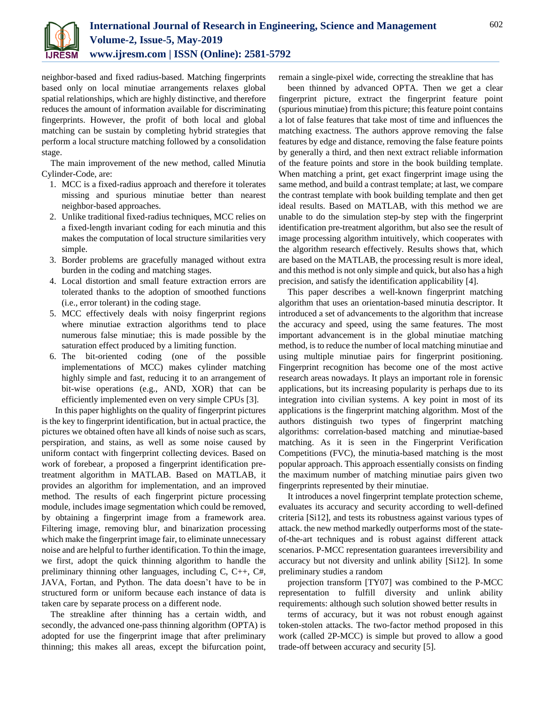

neighbor-based and fixed radius-based. Matching fingerprints based only on local minutiae arrangements relaxes global spatial relationships, which are highly distinctive, and therefore reduces the amount of information available for discriminating fingerprints. However, the profit of both local and global matching can be sustain by completing hybrid strategies that perform a local structure matching followed by a consolidation stage.

The main improvement of the new method, called Minutia Cylinder-Code, are:

- 1. MCC is a fixed-radius approach and therefore it tolerates missing and spurious minutiae better than nearest neighbor-based approaches.
- 2. Unlike traditional fixed-radius techniques, MCC relies on a fixed-length invariant coding for each minutia and this makes the computation of local structure similarities very simple.
- 3. Border problems are gracefully managed without extra burden in the coding and matching stages.
- 4. Local distortion and small feature extraction errors are tolerated thanks to the adoption of smoothed functions (i.e., error tolerant) in the coding stage.
- 5. MCC effectively deals with noisy fingerprint regions where minutiae extraction algorithms tend to place numerous false minutiae; this is made possible by the saturation effect produced by a limiting function.
- 6. The bit-oriented coding (one of the possible implementations of MCC) makes cylinder matching highly simple and fast, reducing it to an arrangement of bit-wise operations (e.g., AND, XOR) that can be efficiently implemented even on very simple CPUs [3].

In this paper highlights on the quality of fingerprint pictures is the key to fingerprint identification, but in actual practice, the pictures we obtained often have all kinds of noise such as scars, perspiration, and stains, as well as some noise caused by uniform contact with fingerprint collecting devices. Based on work of forebear, a proposed a fingerprint identification pretreatment algorithm in MATLAB. Based on MATLAB, it provides an algorithm for implementation, and an improved method. The results of each fingerprint picture processing module, includes image segmentation which could be removed, by obtaining a fingerprint image from a framework area. Filtering image, removing blur, and binarization processing which make the fingerprint image fair, to eliminate unnecessary noise and are helpful to further identification. To thin the image, we first, adopt the quick thinning algorithm to handle the preliminary thinning other languages, including C, C++, C#, JAVA, Fortan, and Python. The data doesn't have to be in structured form or uniform because each instance of data is taken care by separate process on a different node.

The streakline after thinning has a certain width, and secondly, the advanced one-pass thinning algorithm (OPTA) is adopted for use the fingerprint image that after preliminary thinning; this makes all areas, except the bifurcation point,

remain a single-pixel wide, correcting the streakline that has

been thinned by advanced OPTA. Then we get a clear fingerprint picture, extract the fingerprint feature point (spurious minutiae) from this picture; this feature point contains a lot of false features that take most of time and influences the matching exactness. The authors approve removing the false features by edge and distance, removing the false feature points by generally a third, and then next extract reliable information of the feature points and store in the book building template. When matching a print, get exact fingerprint image using the same method, and build a contrast template; at last, we compare the contrast template with book building template and then get ideal results. Based on MATLAB, with this method we are unable to do the simulation step-by step with the fingerprint identification pre-treatment algorithm, but also see the result of image processing algorithm intuitively, which cooperates with the algorithm research effectively. Results shows that, which are based on the MATLAB, the processing result is more ideal, and this method is not only simple and quick, but also has a high precision, and satisfy the identification applicability [4].

This paper describes a well-known fingerprint matching algorithm that uses an orientation-based minutia descriptor. It introduced a set of advancements to the algorithm that increase the accuracy and speed, using the same features. The most important advancement is in the global minutiae matching method, is to reduce the number of local matching minutiae and using multiple minutiae pairs for fingerprint positioning. Fingerprint recognition has become one of the most active research areas nowadays. It plays an important role in forensic applications, but its increasing popularity is perhaps due to its integration into civilian systems. A key point in most of its applications is the fingerprint matching algorithm. Most of the authors distinguish two types of fingerprint matching algorithms: correlation-based matching and minutiae-based matching. As it is seen in the Fingerprint Verification Competitions (FVC), the minutia-based matching is the most popular approach. This approach essentially consists on finding the maximum number of matching minutiae pairs given two fingerprints represented by their minutiae.

It introduces a novel fingerprint template protection scheme, evaluates its accuracy and security according to well-defined criteria [Si12], and tests its robustness against various types of attack. the new method markedly outperforms most of the stateof-the-art techniques and is robust against different attack scenarios. P-MCC representation guarantees irreversibility and accuracy but not diversity and unlink ability [Si12]. In some preliminary studies a random

projection transform [TY07] was combined to the P-MCC representation to fulfill diversity and unlink ability requirements: although such solution showed better results in

terms of accuracy, but it was not robust enough against token-stolen attacks. The two-factor method proposed in this work (called 2P-MCC) is simple but proved to allow a good trade-off between accuracy and security [5].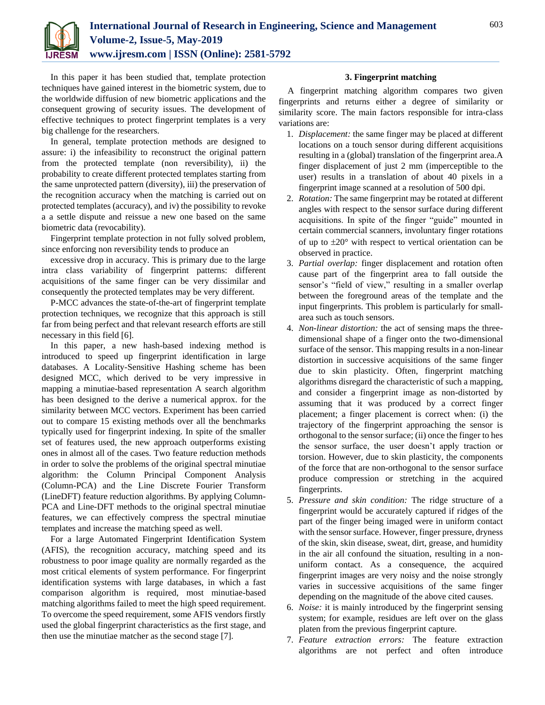

In this paper it has been studied that, template protection techniques have gained interest in the biometric system, due to the worldwide diffusion of new biometric applications and the consequent growing of security issues. The development of effective techniques to protect fingerprint templates is a very big challenge for the researchers.

In general, template protection methods are designed to assure: i) the infeasibility to reconstruct the original pattern from the protected template (non reversibility), ii) the probability to create different protected templates starting from the same unprotected pattern (diversity), iii) the preservation of the recognition accuracy when the matching is carried out on protected templates (accuracy), and iv) the possibility to revoke a a settle dispute and reissue a new one based on the same biometric data (revocability).

Fingerprint template protection in not fully solved problem, since enforcing non reversibility tends to produce an

excessive drop in accuracy. This is primary due to the large intra class variability of fingerprint patterns: different acquisitions of the same finger can be very dissimilar and consequently the protected templates may be very different.

P-MCC advances the state-of-the-art of fingerprint template protection techniques, we recognize that this approach is still far from being perfect and that relevant research efforts are still necessary in this field [6].

In this paper, a new hash-based indexing method is introduced to speed up fingerprint identification in large databases. A Locality-Sensitive Hashing scheme has been designed MCC, which derived to be very impressive in mapping a minutiae-based representation A search algorithm has been designed to the derive a numerical approx. for the similarity between MCC vectors. Experiment has been carried out to compare 15 existing methods over all the benchmarks typically used for fingerprint indexing. In spite of the smaller set of features used, the new approach outperforms existing ones in almost all of the cases. Two feature reduction methods in order to solve the problems of the original spectral minutiae algorithm: the Column Principal Component Analysis (Column-PCA) and the Line Discrete Fourier Transform (LineDFT) feature reduction algorithms. By applying Column-PCA and Line-DFT methods to the original spectral minutiae features, we can effectively compress the spectral minutiae templates and increase the matching speed as well.

For a large Automated Fingerprint Identification System (AFIS), the recognition accuracy, matching speed and its robustness to poor image quality are normally regarded as the most critical elements of system performance. For fingerprint identification systems with large databases, in which a fast comparison algorithm is required, most minutiae-based matching algorithms failed to meet the high speed requirement. To overcome the speed requirement, some AFIS vendors firstly used the global fingerprint characteristics as the first stage, and then use the minutiae matcher as the second stage [7].

## **3. Fingerprint matching**

A fingerprint matching algorithm compares two given fingerprints and returns either a degree of similarity or similarity score. The main factors responsible for intra-class variations are:

- 1. *Displacement:* the same finger may be placed at different locations on a touch sensor during different acquisitions resulting in a (global) translation of the fingerprint area.A finger displacement of just 2 mm (imperceptible to the user) results in a translation of about 40 pixels in a fingerprint image scanned at a resolution of 500 dpi.
- 2. *Rotation:* The same fingerprint may be rotated at different angles with respect to the sensor surface during different acquisitions. In spite of the finger "guide" mounted in certain commercial scanners, involuntary finger rotations of up to  $\pm 20^{\circ}$  with respect to vertical orientation can be observed in practice.
- 3. *Partial overlap:* finger displacement and rotation often cause part of the fingerprint area to fall outside the sensor's "field of view," resulting in a smaller overlap between the foreground areas of the template and the input fingerprints. This problem is particularly for smallarea such as touch sensors.
- 4. *Non-linear distortion:* the act of sensing maps the threedimensional shape of a finger onto the two-dimensional surface of the sensor. This mapping results in a non-linear distortion in successive acquisitions of the same finger due to skin plasticity. Often, fingerprint matching algorithms disregard the characteristic of such a mapping, and consider a fingerprint image as non-distorted by assuming that it was produced by a correct finger placement; a finger placement is correct when: (i) the trajectory of the fingerprint approaching the sensor is orthogonal to the sensor surface; (ii) once the finger to hes the sensor surface, the user doesn't apply traction or torsion. However, due to skin plasticity, the components of the force that are non-orthogonal to the sensor surface produce compression or stretching in the acquired fingerprints.
- 5. *Pressure and skin condition:* The ridge structure of a fingerprint would be accurately captured if ridges of the part of the finger being imaged were in uniform contact with the sensor surface. However, finger pressure, dryness of the skin, skin disease, sweat, dirt, grease, and humidity in the air all confound the situation, resulting in a nonuniform contact. As a consequence, the acquired fingerprint images are very noisy and the noise strongly varies in successive acquisitions of the same finger depending on the magnitude of the above cited causes.
- 6. *Noise:* it is mainly introduced by the fingerprint sensing system; for example, residues are left over on the glass platen from the previous fingerprint capture.
- 7. *Feature extraction errors:* The feature extraction algorithms are not perfect and often introduce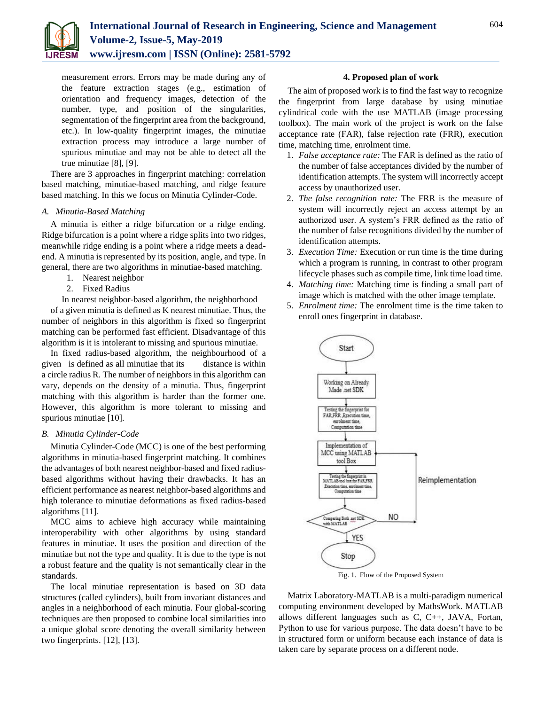

measurement errors. Errors may be made during any of the feature extraction stages (e.g., estimation of orientation and frequency images, detection of the number, type, and position of the singularities, segmentation of the fingerprint area from the background, etc.). In low-quality fingerprint images, the minutiae extraction process may introduce a large number of spurious minutiae and may not be able to detect all the true minutiae [8], [9].

There are 3 approaches in fingerprint matching: correlation based matching, minutiae-based matching, and ridge feature based matching. In this we focus on Minutia Cylinder-Code.

## *A. Minutia-Based Matching*

A minutia is either a ridge bifurcation or a ridge ending. Ridge bifurcation is a point where a ridge splits into two ridges, meanwhile ridge ending is a point where a ridge meets a deadend. A minutia is represented by its position, angle, and type. In general, there are two algorithms in minutiae-based matching.

- 1. Nearest neighbor
- 2. Fixed Radius

In nearest neighbor-based algorithm, the neighborhood

of a given minutia is defined as K nearest minutiae. Thus, the number of neighbors in this algorithm is fixed so fingerprint matching can be performed fast efficient. Disadvantage of this algorithm is it is intolerant to missing and spurious minutiae.

In fixed radius-based algorithm, the neighbourhood of a given is defined as all minutiae that its distance is within a circle radius R. The number of neighbors in this algorithm can vary, depends on the density of a minutia. Thus, fingerprint matching with this algorithm is harder than the former one. However, this algorithm is more tolerant to missing and spurious minutiae [10].

#### *B. Minutia Cylinder-Code*

Minutia Cylinder-Code (MCC) is one of the best performing algorithms in minutia-based fingerprint matching. It combines the advantages of both nearest neighbor-based and fixed radiusbased algorithms without having their drawbacks. It has an efficient performance as nearest neighbor-based algorithms and high tolerance to minutiae deformations as fixed radius-based algorithms [11].

MCC aims to achieve high accuracy while maintaining interoperability with other algorithms by using standard features in minutiae. It uses the position and direction of the minutiae but not the type and quality. It is due to the type is not a robust feature and the quality is not semantically clear in the standards.

The local minutiae representation is based on 3D data structures (called cylinders), built from invariant distances and angles in a neighborhood of each minutia. Four global-scoring techniques are then proposed to combine local similarities into a unique global score denoting the overall similarity between two fingerprints. [12], [13].

### **4. Proposed plan of work**

The aim of proposed work is to find the fast way to recognize the fingerprint from large database by using minutiae cylindrical code with the use MATLAB (image processing toolbox). The main work of the project is work on the false acceptance rate (FAR), false rejection rate (FRR), execution time, matching time, enrolment time.

- 1. *False acceptance rate:* The FAR is defined as the ratio of the number of false acceptances divided by the number of identification attempts. The system will incorrectly accept access by unauthorized user.
- 2. *The false recognition rate:* The FRR is the measure of system will incorrectly reject an access attempt by an authorized user. A system's FRR defined as the ratio of the number of false recognitions divided by the number of identification attempts.
- 3. *Execution Time:* Execution or run time is the time during which a program is running, in contrast to other program lifecycle phases such as compile time, link time load time.
- 4. *Matching time:* Matching time is finding a small part of image which is matched with the other image template.
- 5. *Enrolment time:* The enrolment time is the time taken to enroll ones fingerprint in database.



Fig. 1. Flow of the Proposed System

Matrix Laboratory-MATLAB is a multi-paradigm numerical computing environment developed by MathsWork. MATLAB allows different languages such as C, C++, JAVA, Fortan, Python to use for various purpose. The data doesn't have to be in structured form or uniform because each instance of data is taken care by separate process on a different node.